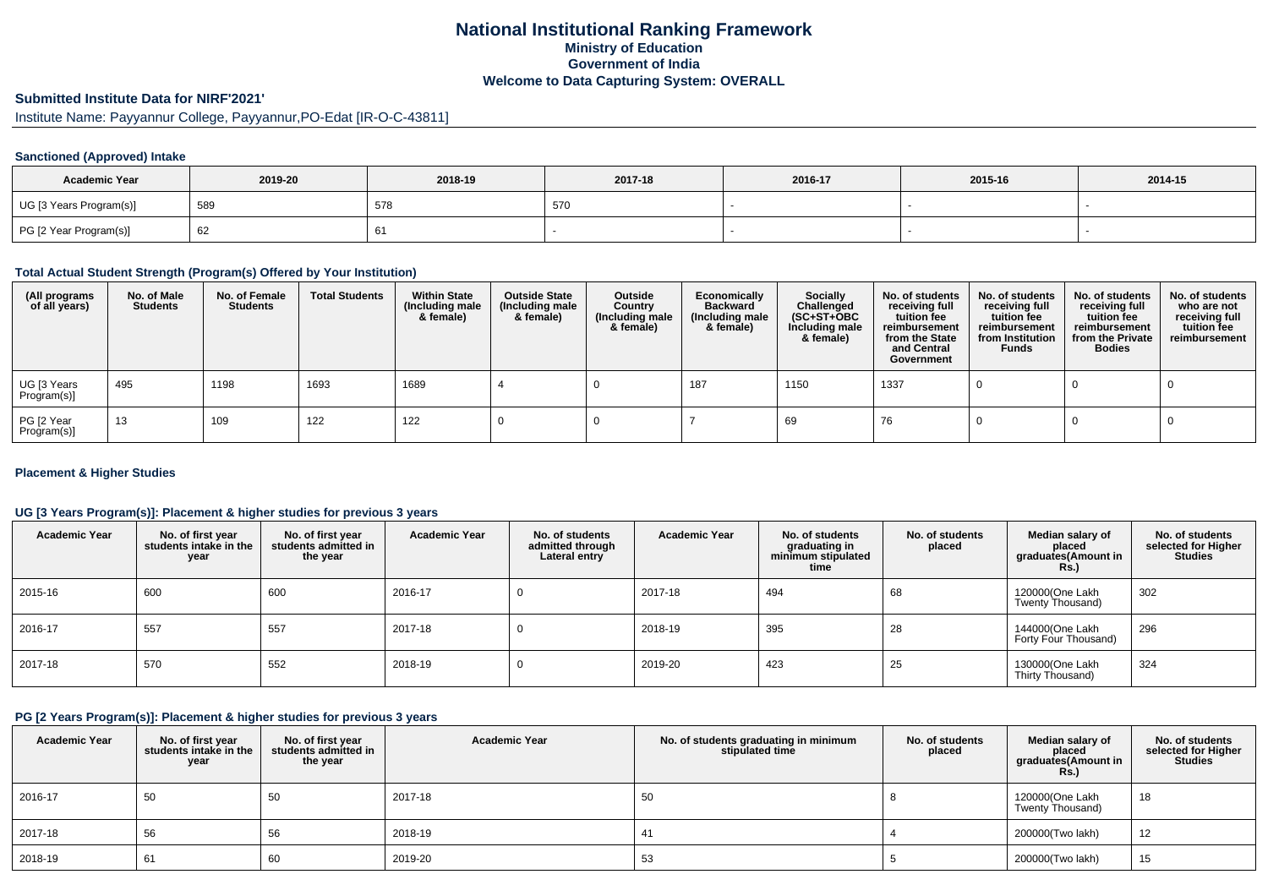# **National Institutional Ranking FrameworkMinistry of Education Government of IndiaWelcome to Data Capturing System: OVERALL**

# **Submitted Institute Data for NIRF'2021'**

Institute Name: Payyannur College, Payyannur,PO-Edat [IR-O-C-43811]

### **Sanctioned (Approved) Intake**

| <b>Academic Year</b>    | 2019-20 | 2018-19 | 2017-18 | 2016-17 | 2015-16 | 2014-15 |
|-------------------------|---------|---------|---------|---------|---------|---------|
| UG [3 Years Program(s)] | 589     | 578     | 570     |         |         |         |
| PG [2 Year Program(s)]  | 62      |         |         |         |         |         |

### **Total Actual Student Strength (Program(s) Offered by Your Institution)**

| (All programs<br>of all years) | No. of Male<br><b>Students</b> | No. of Female<br><b>Students</b> | <b>Total Students</b> | <b>Within State</b><br>(Including male<br>& female) | <b>Outside State</b><br>(Including male<br>& female) | Outside<br>Country<br>(Including male<br>& female) | Economically<br><b>Backward</b><br>(Including male<br>& female) | <b>Socially</b><br>Challenged<br>$(SC+ST+OBC)$<br>Including male<br>& female) | No. of students<br>receiving full<br>tuition fee<br>reimbursement<br>from the State<br>and Central<br>Government | No. of students<br>receiving full<br>tuition fee<br>reimbursement<br>from Institution<br><b>Funds</b> | No. of students<br>receiving full<br>tuition fee<br>reimbursement<br>from the Private<br><b>Bodies</b> | No. of students<br>who are not<br>receiving full<br>tuition fee<br>reimbursement |
|--------------------------------|--------------------------------|----------------------------------|-----------------------|-----------------------------------------------------|------------------------------------------------------|----------------------------------------------------|-----------------------------------------------------------------|-------------------------------------------------------------------------------|------------------------------------------------------------------------------------------------------------------|-------------------------------------------------------------------------------------------------------|--------------------------------------------------------------------------------------------------------|----------------------------------------------------------------------------------|
| UG [3 Years<br>Program(s)]     | 495                            | 1198                             | 1693                  | 1689                                                |                                                      |                                                    | 187                                                             | 1150                                                                          | 1337                                                                                                             |                                                                                                       |                                                                                                        |                                                                                  |
| PG [2 Year<br>Program(s)]      | 13                             | 109                              | 122                   | 122                                                 |                                                      |                                                    |                                                                 | 69                                                                            | 76                                                                                                               |                                                                                                       |                                                                                                        |                                                                                  |

### **Placement & Higher Studies**

### **UG [3 Years Program(s)]: Placement & higher studies for previous 3 years**

| <b>Academic Year</b> | No. of first year<br>students intake in the<br>year | No. of first vear<br>students admitted in<br>the year | <b>Academic Year</b> | No. of students<br>admitted through<br>Lateral entry | <b>Academic Year</b> | No. of students<br>graduating in<br>minimum stipulated<br>time | No. of students<br>placed | Median salary of<br>placed<br>graduates(Amount in<br><b>Rs.</b> ) | No. of students<br>selected for Higher<br><b>Studies</b> |
|----------------------|-----------------------------------------------------|-------------------------------------------------------|----------------------|------------------------------------------------------|----------------------|----------------------------------------------------------------|---------------------------|-------------------------------------------------------------------|----------------------------------------------------------|
| 2015-16              | 600                                                 | 600                                                   | 2016-17              | υ                                                    | 2017-18              | 494                                                            | 68                        | 120000(One Lakh<br>Twenty Thousand)                               | 302                                                      |
| 2016-17              | 557                                                 | 557                                                   | 2017-18              | υ                                                    | 2018-19              | 395                                                            | 28                        | 144000(One Lakh<br>Forty Four Thousand)                           | 296                                                      |
| 2017-18              | 570                                                 | 552                                                   | 2018-19              | υ                                                    | 2019-20              | 423                                                            | 25                        | 130000(One Lakh<br>Thirty Thousand)                               | 324                                                      |

### **PG [2 Years Program(s)]: Placement & higher studies for previous 3 years**

| <b>Academic Year</b> | No. of first year<br>students intake in the<br>year | No. of first year<br>students admitted in<br>the year | <b>Academic Year</b> | No. of students graduating in minimum<br>stipulated time | No. of students<br>placed | Median salary of<br>placed<br>graduates(Amount in<br><b>Rs.)</b> | No. of students<br>selected for Higher<br><b>Studies</b> |
|----------------------|-----------------------------------------------------|-------------------------------------------------------|----------------------|----------------------------------------------------------|---------------------------|------------------------------------------------------------------|----------------------------------------------------------|
| 2016-17              | 50                                                  | 50                                                    | 2017-18              | 50                                                       |                           | 120000(One Lakh<br>Twenty Thousand)                              | 18                                                       |
| 2017-18              | 56                                                  | 56                                                    | 2018-19              |                                                          |                           | 200000(Two lakh)                                                 | 12                                                       |
| 2018-19              | 61                                                  | -60                                                   | 2019-20              | 53                                                       |                           | 200000(Two lakh)                                                 | 15                                                       |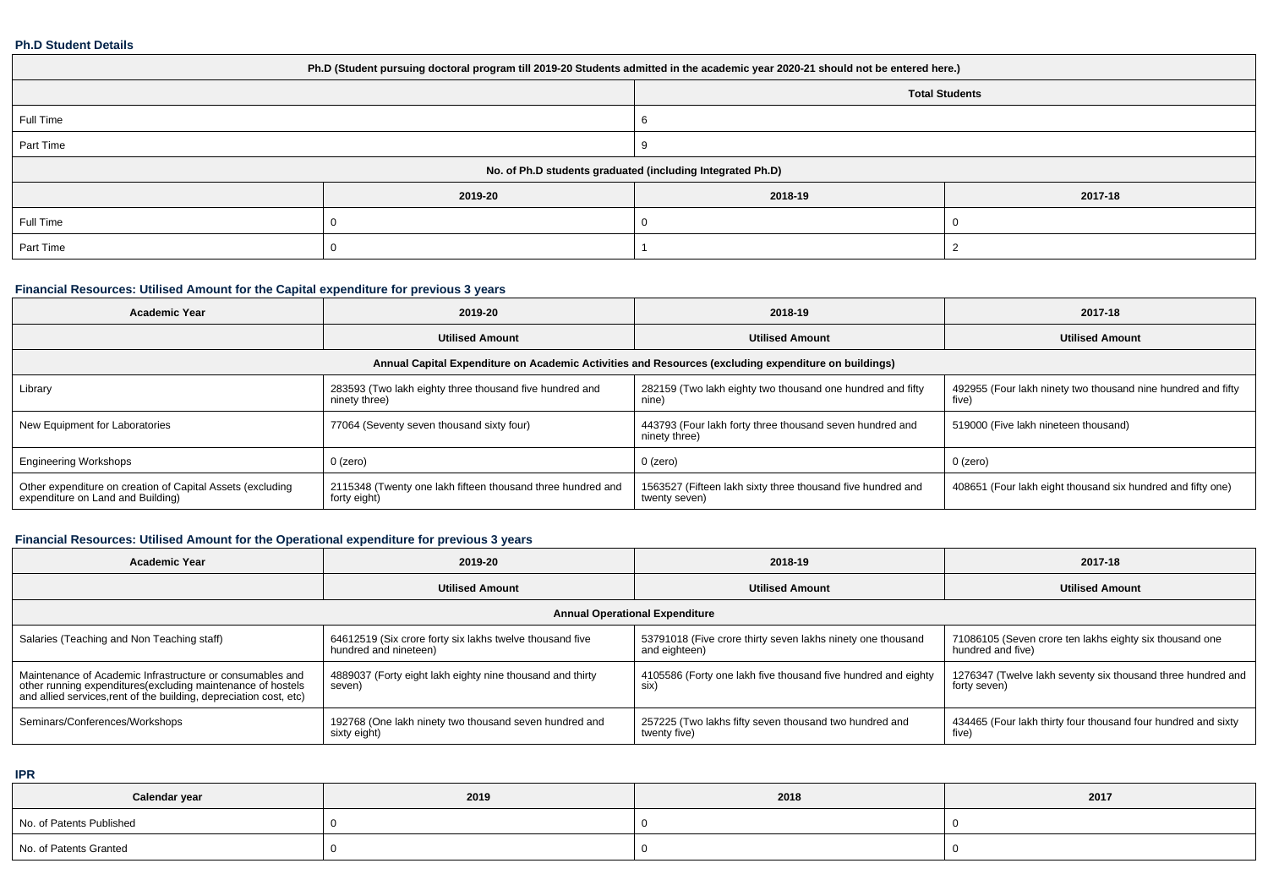#### **Ph.D Student Details**

| Ph.D (Student pursuing doctoral program till 2019-20 Students admitted in the academic year 2020-21 should not be entered here.) |         |                       |         |  |  |
|----------------------------------------------------------------------------------------------------------------------------------|---------|-----------------------|---------|--|--|
|                                                                                                                                  |         | <b>Total Students</b> |         |  |  |
| Full Time                                                                                                                        |         |                       |         |  |  |
| Part Time                                                                                                                        |         |                       |         |  |  |
| No. of Ph.D students graduated (including Integrated Ph.D)                                                                       |         |                       |         |  |  |
|                                                                                                                                  | 2019-20 | 2018-19               | 2017-18 |  |  |
| Full Time                                                                                                                        |         |                       |         |  |  |
| Part Time                                                                                                                        |         |                       |         |  |  |

## **Financial Resources: Utilised Amount for the Capital expenditure for previous 3 years**

| <b>Academic Year</b>                                                                                 | 2019-20                                                                     | 2018-19                                                                      | 2017-18                                                               |  |  |  |
|------------------------------------------------------------------------------------------------------|-----------------------------------------------------------------------------|------------------------------------------------------------------------------|-----------------------------------------------------------------------|--|--|--|
|                                                                                                      | <b>Utilised Amount</b>                                                      | <b>Utilised Amount</b>                                                       | <b>Utilised Amount</b>                                                |  |  |  |
| Annual Capital Expenditure on Academic Activities and Resources (excluding expenditure on buildings) |                                                                             |                                                                              |                                                                       |  |  |  |
| Library                                                                                              | 283593 (Two lakh eighty three thousand five hundred and<br>ninety three)    | 282159 (Two lakh eighty two thousand one hundred and fifty<br>nine)          | 492955 (Four lakh ninety two thousand nine hundred and fifty<br>five) |  |  |  |
| New Equipment for Laboratories                                                                       | 77064 (Seventy seven thousand sixty four)                                   | 443793 (Four lakh forty three thousand seven hundred and<br>ninety three)    | 519000 (Five lakh nineteen thousand)                                  |  |  |  |
| <b>Engineering Workshops</b>                                                                         | 0 (zero)                                                                    | 0 (zero)                                                                     | 0 (zero)                                                              |  |  |  |
| Other expenditure on creation of Capital Assets (excluding<br>expenditure on Land and Building)      | 2115348 (Twenty one lakh fifteen thousand three hundred and<br>forty eight) | 1563527 (Fifteen lakh sixty three thousand five hundred and<br>twenty seven) | 408651 (Four lakh eight thousand six hundred and fifty one)           |  |  |  |

## **Financial Resources: Utilised Amount for the Operational expenditure for previous 3 years**

| <b>Academic Year</b>                                                                                                                                                                            | 2019-20                                                                           | 2018-19                                                                      | 2017-18                                                                      |  |  |  |
|-------------------------------------------------------------------------------------------------------------------------------------------------------------------------------------------------|-----------------------------------------------------------------------------------|------------------------------------------------------------------------------|------------------------------------------------------------------------------|--|--|--|
|                                                                                                                                                                                                 | <b>Utilised Amount</b>                                                            | <b>Utilised Amount</b>                                                       | <b>Utilised Amount</b>                                                       |  |  |  |
| <b>Annual Operational Expenditure</b>                                                                                                                                                           |                                                                                   |                                                                              |                                                                              |  |  |  |
| Salaries (Teaching and Non Teaching staff)                                                                                                                                                      | 64612519 (Six crore forty six lakhs twelve thousand five<br>hundred and nineteen) | 53791018 (Five crore thirty seven lakhs ninety one thousand<br>and eighteen) | 71086105 (Seven crore ten lakhs eighty six thousand one<br>hundred and five) |  |  |  |
| Maintenance of Academic Infrastructure or consumables and<br>other running expenditures (excluding maintenance of hostels<br>and allied services, rent of the building, depreciation cost, etc) | 4889037 (Forty eight lakh eighty nine thousand and thirty<br>seven)               | 4105586 (Forty one lakh five thousand five hundred and eighty<br>six)        | 1276347 (Twelve lakh seventy six thousand three hundred and<br>forty seven)  |  |  |  |
| Seminars/Conferences/Workshops                                                                                                                                                                  | 192768 (One lakh ninety two thousand seven hundred and<br>sixty eight)            | 257225 (Two lakhs fifty seven thousand two hundred and<br>twenty five)       | 434465 (Four lakh thirty four thousand four hundred and sixty<br>five)       |  |  |  |

**IPR**

| Calendar year            | 2019 | 2018 | 2017 |
|--------------------------|------|------|------|
| No. of Patents Published |      |      |      |
| No. of Patents Granted   |      |      |      |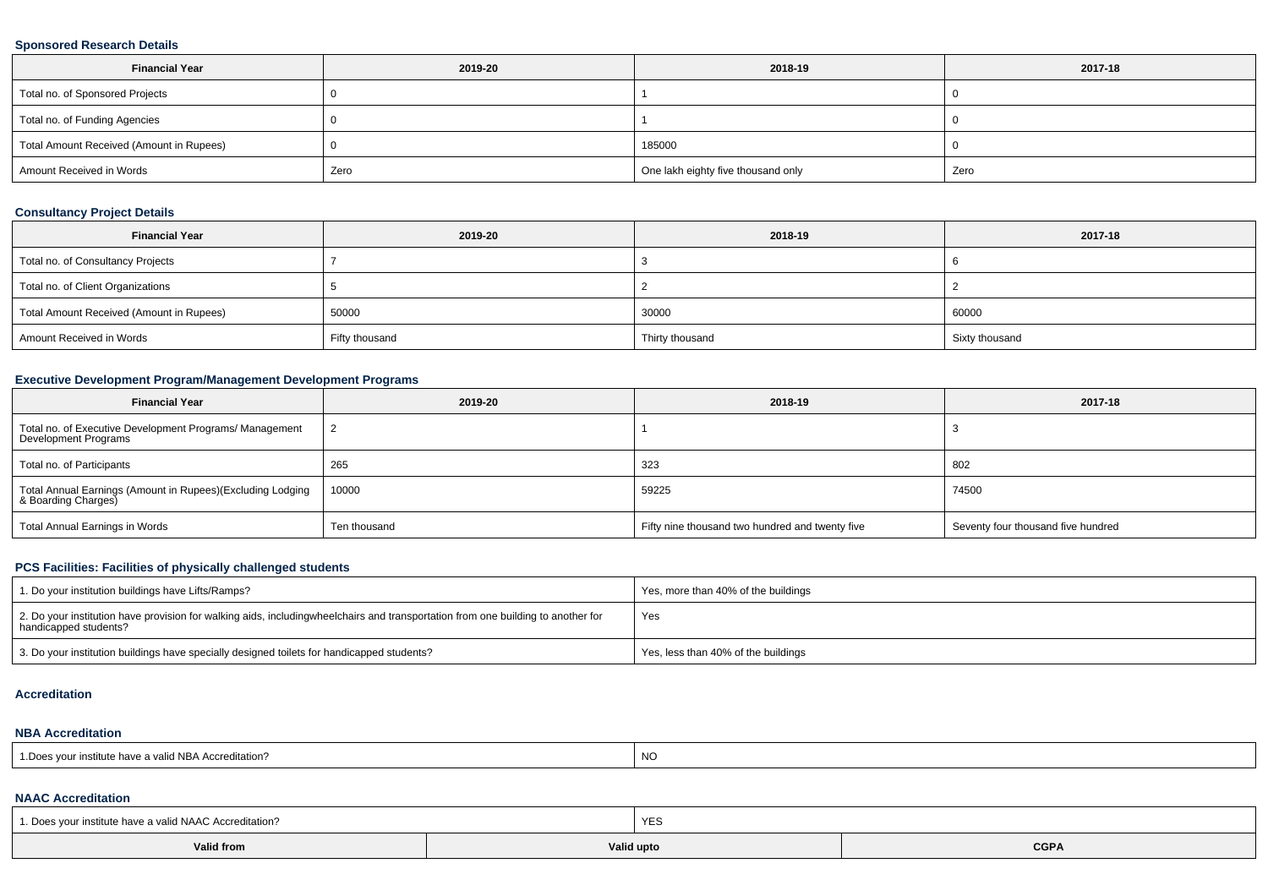### **Sponsored Research Details**

| <b>Financial Year</b>                    | 2019-20 | 2018-19                            | 2017-18 |
|------------------------------------------|---------|------------------------------------|---------|
| Total no. of Sponsored Projects          |         |                                    |         |
| Total no. of Funding Agencies            |         |                                    |         |
| Total Amount Received (Amount in Rupees) |         | 185000                             |         |
| Amount Received in Words                 | Zero    | One lakh eighty five thousand only | Zero    |

### **Consultancy Project Details**

| <b>Financial Year</b>                    | 2019-20        | 2018-19         | 2017-18        |
|------------------------------------------|----------------|-----------------|----------------|
| Total no. of Consultancy Projects        |                |                 |                |
| Total no. of Client Organizations        |                |                 |                |
| Total Amount Received (Amount in Rupees) | 50000          | 30000           | 60000          |
| Amount Received in Words                 | Fifty thousand | Thirty thousand | Sixty thousand |

## **Executive Development Program/Management Development Programs**

| <b>Financial Year</b>                                                            | 2019-20      | 2018-19                                         | 2017-18                            |
|----------------------------------------------------------------------------------|--------------|-------------------------------------------------|------------------------------------|
| Total no. of Executive Development Programs/ Management<br>Development Programs  |              |                                                 |                                    |
| Total no. of Participants                                                        | 265          | 323                                             | 802                                |
| Total Annual Earnings (Amount in Rupees)(Excluding Lodging<br>& Boarding Charges | 10000        | 59225                                           | 74500                              |
| Total Annual Earnings in Words                                                   | Ten thousand | Fifty nine thousand two hundred and twenty five | Seventy four thousand five hundred |

## **PCS Facilities: Facilities of physically challenged students**

| 1. Do your institution buildings have Lifts/Ramps?                                                                                                        | Yes, more than 40% of the buildings |
|-----------------------------------------------------------------------------------------------------------------------------------------------------------|-------------------------------------|
| 2. Do your institution have provision for walking aids, includingwheelchairs and transportation from one building to another for<br>handicapped students? | Yes                                 |
| 3. Do your institution buildings have specially designed toilets for handicapped students?                                                                | Yes, less than 40% of the buildings |

#### **Accreditation**

#### **NBA Accreditation**

| r institute have a valid NBA Accreditation?<br><sup>1</sup> Does your in. | <b>NO</b> |
|---------------------------------------------------------------------------|-----------|
|---------------------------------------------------------------------------|-----------|

# **NAAC Accreditation**

| 1. Does your institute have a valid NAAC Accreditation? |            | YES |             |  |  |  |
|---------------------------------------------------------|------------|-----|-------------|--|--|--|
| Valid from                                              | Valid upto |     | <b>CGPA</b> |  |  |  |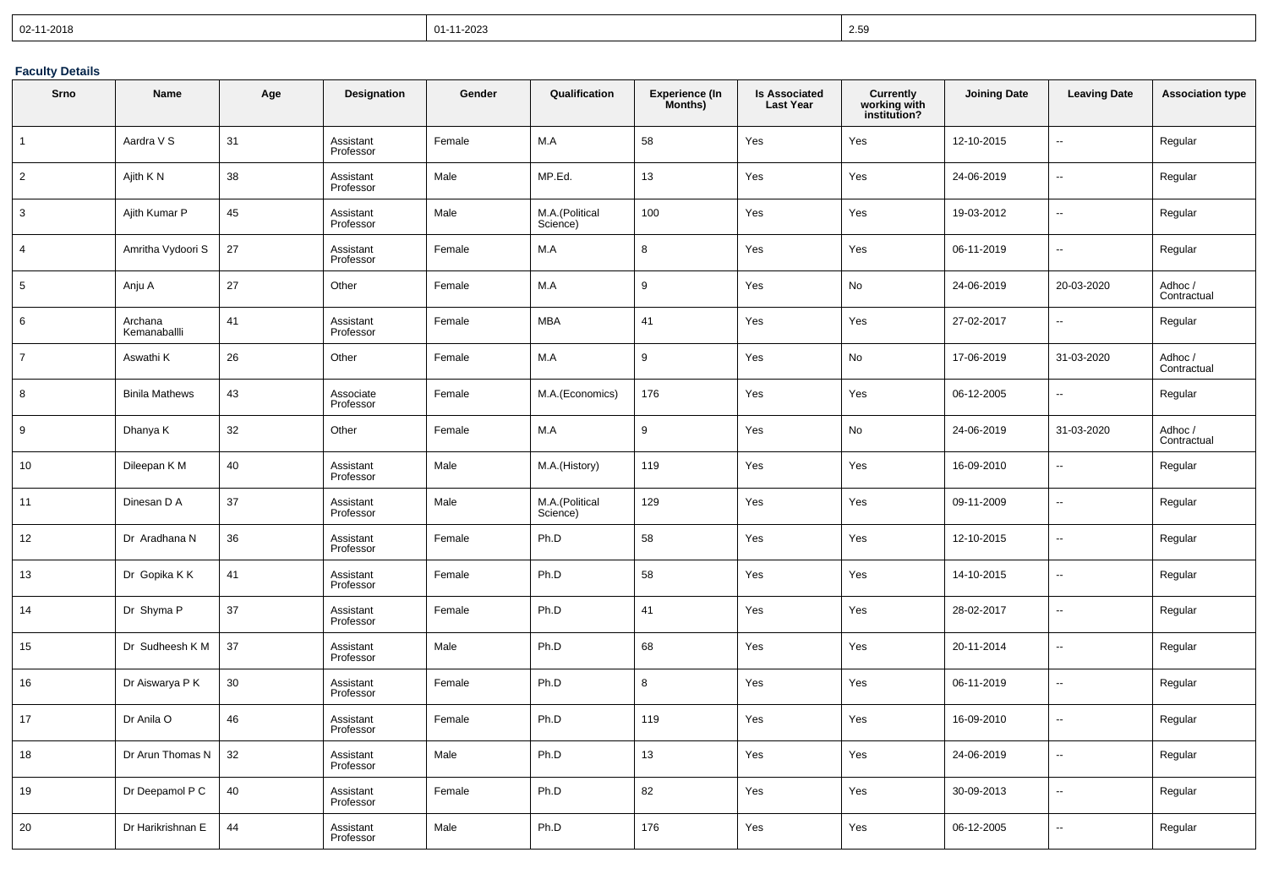| $  02 - 11 - 2018$ | 01-11-2023 | 2.59 |
|--------------------|------------|------|
|--------------------|------------|------|

### **Faculty Details**

| Srno           | Name                    | Age | Designation            | Gender | Qualification              | <b>Experience (In</b><br>Months) | <b>Is Associated</b><br><b>Last Year</b> | <b>Currently</b><br>working with<br>institution? | <b>Joining Date</b> | <b>Leaving Date</b>      | <b>Association type</b> |
|----------------|-------------------------|-----|------------------------|--------|----------------------------|----------------------------------|------------------------------------------|--------------------------------------------------|---------------------|--------------------------|-------------------------|
| $\mathbf{1}$   | Aardra V S              | 31  | Assistant<br>Professor | Female | M.A                        | 58                               | Yes                                      | Yes                                              | 12-10-2015          | Ξ.                       | Regular                 |
| $\overline{2}$ | Ajith K N               | 38  | Assistant<br>Professor | Male   | MP.Ed.                     | 13                               | Yes                                      | Yes                                              | 24-06-2019          | ц.                       | Regular                 |
| 3              | Ajith Kumar P           | 45  | Assistant<br>Professor | Male   | M.A.(Political<br>Science) | 100                              | Yes                                      | Yes                                              | 19-03-2012          | --                       | Regular                 |
| $\overline{4}$ | Amritha Vydoori S       | 27  | Assistant<br>Professor | Female | M.A                        | 8                                | Yes                                      | Yes                                              | 06-11-2019          | u,                       | Regular                 |
| $5\phantom{1}$ | Anju A                  | 27  | Other                  | Female | M.A                        | 9                                | Yes                                      | No                                               | 24-06-2019          | 20-03-2020               | Adhoc /<br>Contractual  |
| 6              | Archana<br>Kemanaballli | 41  | Assistant<br>Professor | Female | <b>MBA</b>                 | 41                               | Yes                                      | Yes                                              | 27-02-2017          | Щ,                       | Regular                 |
| $\overline{7}$ | Aswathi K               | 26  | Other                  | Female | M.A                        | 9                                | Yes                                      | No                                               | 17-06-2019          | 31-03-2020               | Adhoc/<br>Contractual   |
| 8              | <b>Binila Mathews</b>   | 43  | Associate<br>Professor | Female | M.A.(Economics)            | 176                              | Yes                                      | Yes                                              | 06-12-2005          | Щ,                       | Regular                 |
| 9              | Dhanya K                | 32  | Other                  | Female | M.A                        | 9                                | Yes                                      | No                                               | 24-06-2019          | 31-03-2020               | Adhoc /<br>Contractual  |
| 10             | Dileepan K M            | 40  | Assistant<br>Professor | Male   | M.A.(History)              | 119                              | Yes                                      | Yes                                              | 16-09-2010          | Щ,                       | Regular                 |
| 11             | Dinesan D A             | 37  | Assistant<br>Professor | Male   | M.A.(Political<br>Science) | 129                              | Yes                                      | Yes                                              | 09-11-2009          | $\overline{\phantom{a}}$ | Regular                 |
| 12             | Dr Aradhana N           | 36  | Assistant<br>Professor | Female | Ph.D                       | 58                               | Yes                                      | Yes                                              | 12-10-2015          | Щ,                       | Regular                 |
| 13             | Dr Gopika K K           | 41  | Assistant<br>Professor | Female | Ph.D                       | 58                               | Yes                                      | Yes                                              | 14-10-2015          | ÷.                       | Regular                 |
| 14             | Dr Shyma P              | 37  | Assistant<br>Professor | Female | Ph.D                       | 41                               | Yes                                      | Yes                                              | 28-02-2017          | Щ,                       | Regular                 |
| 15             | Dr Sudheesh K M         | 37  | Assistant<br>Professor | Male   | Ph.D                       | 68                               | Yes                                      | Yes                                              | 20-11-2014          | $\overline{\phantom{a}}$ | Regular                 |
| 16             | Dr Aiswarya P K         | 30  | Assistant<br>Professor | Female | Ph.D                       | 8                                | Yes                                      | Yes                                              | 06-11-2019          | н.                       | Regular                 |
| 17             | Dr Anila O              | 46  | Assistant<br>Professor | Female | Ph.D                       | 119                              | Yes                                      | Yes                                              | 16-09-2010          | ÷.                       | Regular                 |
| 18             | Dr Arun Thomas N        | 32  | Assistant<br>Professor | Male   | Ph.D                       | 13                               | Yes                                      | Yes                                              | 24-06-2019          | Щ,                       | Regular                 |
| 19             | Dr Deepamol P C         | 40  | Assistant<br>Professor | Female | Ph.D                       | 82                               | Yes                                      | Yes                                              | 30-09-2013          | Ξ.                       | Regular                 |
| 20             | Dr Harikrishnan E       | 44  | Assistant<br>Professor | Male   | Ph.D                       | 176                              | Yes                                      | Yes                                              | 06-12-2005          | $\overline{\phantom{a}}$ | Regular                 |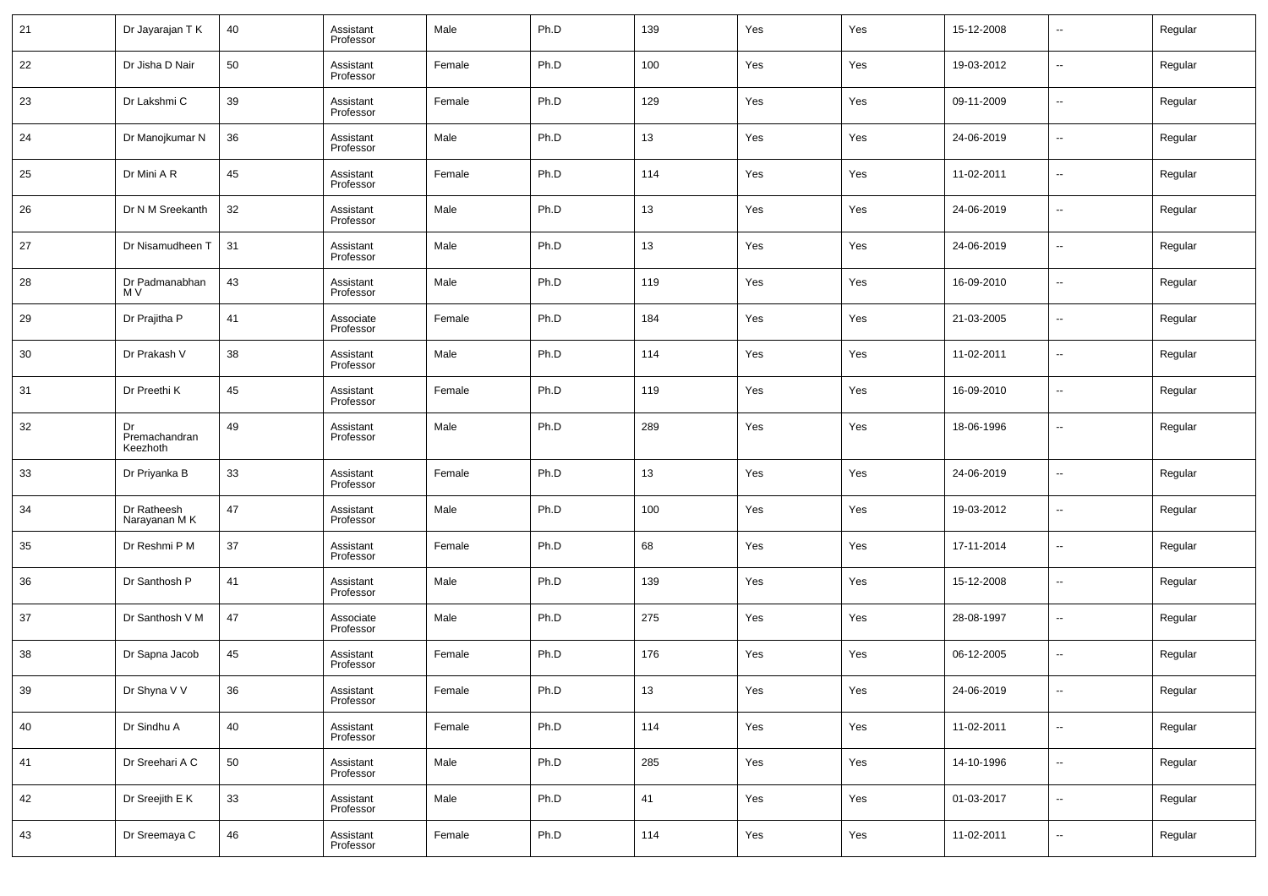| 21 | Dr Jayarajan T K                | 40 | Assistant<br>Professor | Male   | Ph.D | 139 | Yes | Yes | 15-12-2008 | $\sim$                   | Regular |
|----|---------------------------------|----|------------------------|--------|------|-----|-----|-----|------------|--------------------------|---------|
| 22 | Dr Jisha D Nair                 | 50 | Assistant<br>Professor | Female | Ph.D | 100 | Yes | Yes | 19-03-2012 | $\sim$                   | Regular |
| 23 | Dr Lakshmi C                    | 39 | Assistant<br>Professor | Female | Ph.D | 129 | Yes | Yes | 09-11-2009 | $\sim$                   | Regular |
| 24 | Dr Manojkumar N                 | 36 | Assistant<br>Professor | Male   | Ph.D | 13  | Yes | Yes | 24-06-2019 | $\sim$                   | Regular |
| 25 | Dr Mini A R                     | 45 | Assistant<br>Professor | Female | Ph.D | 114 | Yes | Yes | 11-02-2011 | $\sim$                   | Regular |
| 26 | Dr N M Sreekanth                | 32 | Assistant<br>Professor | Male   | Ph.D | 13  | Yes | Yes | 24-06-2019 | ⊶.                       | Regular |
| 27 | Dr Nisamudheen T                | 31 | Assistant<br>Professor | Male   | Ph.D | 13  | Yes | Yes | 24-06-2019 | ⊶.                       | Regular |
| 28 | Dr Padmanabhan<br>M V           | 43 | Assistant<br>Professor | Male   | Ph.D | 119 | Yes | Yes | 16-09-2010 | ⊶.                       | Regular |
| 29 | Dr Prajitha P                   | 41 | Associate<br>Professor | Female | Ph.D | 184 | Yes | Yes | 21-03-2005 | ⊶.                       | Regular |
| 30 | Dr Prakash V                    | 38 | Assistant<br>Professor | Male   | Ph.D | 114 | Yes | Yes | 11-02-2011 | $\sim$                   | Regular |
| 31 | Dr Preethi K                    | 45 | Assistant<br>Professor | Female | Ph.D | 119 | Yes | Yes | 16-09-2010 | $\overline{\phantom{a}}$ | Regular |
| 32 | Dr<br>Premachandran<br>Keezhoth | 49 | Assistant<br>Professor | Male   | Ph.D | 289 | Yes | Yes | 18-06-1996 | $\overline{\phantom{a}}$ | Regular |
| 33 | Dr Priyanka B                   | 33 | Assistant<br>Professor | Female | Ph.D | 13  | Yes | Yes | 24-06-2019 | $\overline{\phantom{a}}$ | Regular |
| 34 | Dr Ratheesh<br>Narayanan MK     | 47 | Assistant<br>Professor | Male   | Ph.D | 100 | Yes | Yes | 19-03-2012 | $\overline{\phantom{a}}$ | Regular |
| 35 | Dr Reshmi P M                   | 37 | Assistant<br>Professor | Female | Ph.D | 68  | Yes | Yes | 17-11-2014 | $\sim$                   | Regular |
| 36 | Dr Santhosh P                   | 41 | Assistant<br>Professor | Male   | Ph.D | 139 | Yes | Yes | 15-12-2008 | $\overline{\phantom{a}}$ | Regular |
| 37 | Dr Santhosh V M                 | 47 | Associate<br>Professor | Male   | Ph.D | 275 | Yes | Yes | 28-08-1997 | $\sim$                   | Regular |
| 38 | Dr Sapna Jacob                  | 45 | Assistant<br>Professor | Female | Ph.D | 176 | Yes | Yes | 06-12-2005 | $\sim$                   | Regular |
| 39 | Dr Shyna V V                    | 36 | Assistant<br>Professor | Female | Ph.D | 13  | Yes | Yes | 24-06-2019 |                          | Regular |
| 40 | Dr Sindhu A                     | 40 | Assistant<br>Professor | Female | Ph.D | 114 | Yes | Yes | 11-02-2011 | $\overline{\phantom{a}}$ | Regular |
| 41 | Dr Sreehari A C                 | 50 | Assistant<br>Professor | Male   | Ph.D | 285 | Yes | Yes | 14-10-1996 | $\overline{\phantom{a}}$ | Regular |
| 42 | Dr Sreejith E K                 | 33 | Assistant<br>Professor | Male   | Ph.D | 41  | Yes | Yes | 01-03-2017 | $\overline{\phantom{a}}$ | Regular |
| 43 | Dr Sreemaya C                   | 46 | Assistant<br>Professor | Female | Ph.D | 114 | Yes | Yes | 11-02-2011 | $\overline{\phantom{a}}$ | Regular |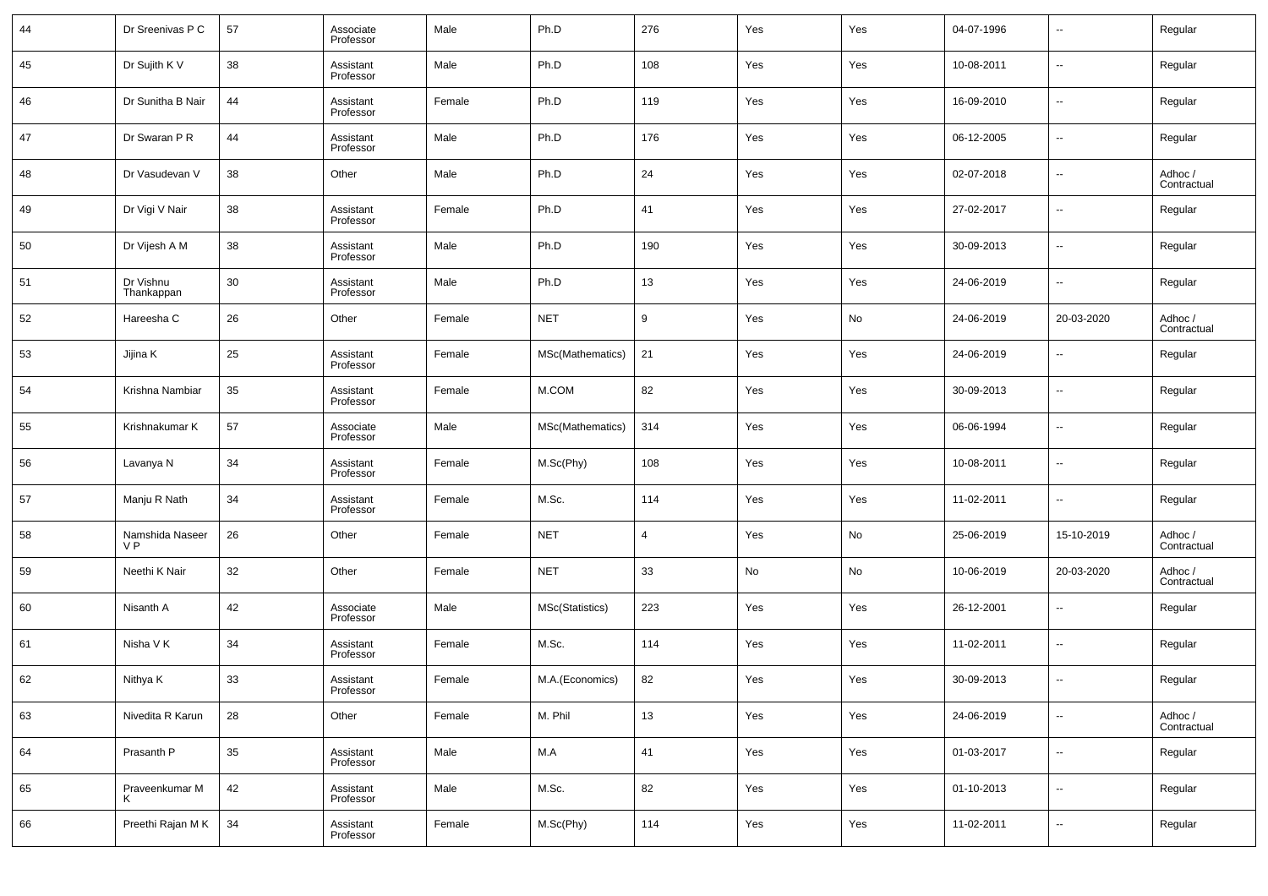| 44 | Dr Sreenivas P C                  | 57 | Associate<br>Professor | Male   | Ph.D             | 276            | Yes | Yes | 04-07-1996 | $\sim$                   | Regular                |
|----|-----------------------------------|----|------------------------|--------|------------------|----------------|-----|-----|------------|--------------------------|------------------------|
| 45 | Dr Sujith K V                     | 38 | Assistant<br>Professor | Male   | Ph.D             | 108            | Yes | Yes | 10-08-2011 | $\sim$                   | Regular                |
| 46 | Dr Sunitha B Nair                 | 44 | Assistant<br>Professor | Female | Ph.D             | 119            | Yes | Yes | 16-09-2010 | $\sim$                   | Regular                |
| 47 | Dr Swaran P R                     | 44 | Assistant<br>Professor | Male   | Ph.D             | 176            | Yes | Yes | 06-12-2005 | $\sim$                   | Regular                |
| 48 | Dr Vasudevan V                    | 38 | Other                  | Male   | Ph.D             | 24             | Yes | Yes | 02-07-2018 | $\sim$                   | Adhoc /<br>Contractual |
| 49 | Dr Vigi V Nair                    | 38 | Assistant<br>Professor | Female | Ph.D             | 41             | Yes | Yes | 27-02-2017 | $\sim$                   | Regular                |
| 50 | Dr Vijesh A M                     | 38 | Assistant<br>Professor | Male   | Ph.D             | 190            | Yes | Yes | 30-09-2013 | $\sim$                   | Regular                |
| 51 | Dr Vishnu<br>Thankappan           | 30 | Assistant<br>Professor | Male   | Ph.D             | 13             | Yes | Yes | 24-06-2019 | $\sim$                   | Regular                |
| 52 | Hareesha C                        | 26 | Other                  | Female | <b>NET</b>       | 9              | Yes | No  | 24-06-2019 | 20-03-2020               | Adhoc /<br>Contractual |
| 53 | Jijina K                          | 25 | Assistant<br>Professor | Female | MSc(Mathematics) | 21             | Yes | Yes | 24-06-2019 | $\sim$                   | Regular                |
| 54 | Krishna Nambiar                   | 35 | Assistant<br>Professor | Female | M.COM            | 82             | Yes | Yes | 30-09-2013 | $\sim$                   | Regular                |
| 55 | Krishnakumar K                    | 57 | Associate<br>Professor | Male   | MSc(Mathematics) | 314            | Yes | Yes | 06-06-1994 | $\overline{\phantom{a}}$ | Regular                |
| 56 | Lavanya N                         | 34 | Assistant<br>Professor | Female | M.Sc(Phy)        | 108            | Yes | Yes | 10-08-2011 | $\sim$                   | Regular                |
| 57 | Manju R Nath                      | 34 | Assistant<br>Professor | Female | M.Sc.            | 114            | Yes | Yes | 11-02-2011 | $\overline{\phantom{a}}$ | Regular                |
| 58 | Namshida Naseer<br>V <sub>P</sub> | 26 | Other                  | Female | <b>NET</b>       | $\overline{4}$ | Yes | No  | 25-06-2019 | 15-10-2019               | Adhoc /<br>Contractual |
| 59 | Neethi K Nair                     | 32 | Other                  | Female | <b>NET</b>       | 33             | No  | No  | 10-06-2019 | 20-03-2020               | Adhoc /<br>Contractual |
| 60 | Nisanth A                         | 42 | Associate<br>Professor | Male   | MSc(Statistics)  | 223            | Yes | Yes | 26-12-2001 | $\sim$                   | Regular                |
| 61 | Nisha V K                         | 34 | Assistant<br>Professor | Female | M.Sc.            | 114            | Yes | Yes | 11-02-2011 | $\sim$                   | Regular                |
| 62 | Nithya K                          | 33 | Assistant<br>Professor | Female | M.A.(Economics)  | 82             | Yes | Yes | 30-09-2013 | $\overline{\phantom{a}}$ | Regular                |
| 63 | Nivedita R Karun                  | 28 | Other                  | Female | M. Phil          | 13             | Yes | Yes | 24-06-2019 | $\sim$                   | Adhoc /<br>Contractual |
| 64 | Prasanth P                        | 35 | Assistant<br>Professor | Male   | M.A              | 41             | Yes | Yes | 01-03-2017 | $\sim$                   | Regular                |
| 65 | Praveenkumar M<br>ĸ               | 42 | Assistant<br>Professor | Male   | M.Sc.            | 82             | Yes | Yes | 01-10-2013 | $\sim$                   | Regular                |
| 66 | Preethi Rajan MK                  | 34 | Assistant<br>Professor | Female | M.Sc(Phy)        | 114            | Yes | Yes | 11-02-2011 | $\overline{\phantom{a}}$ | Regular                |